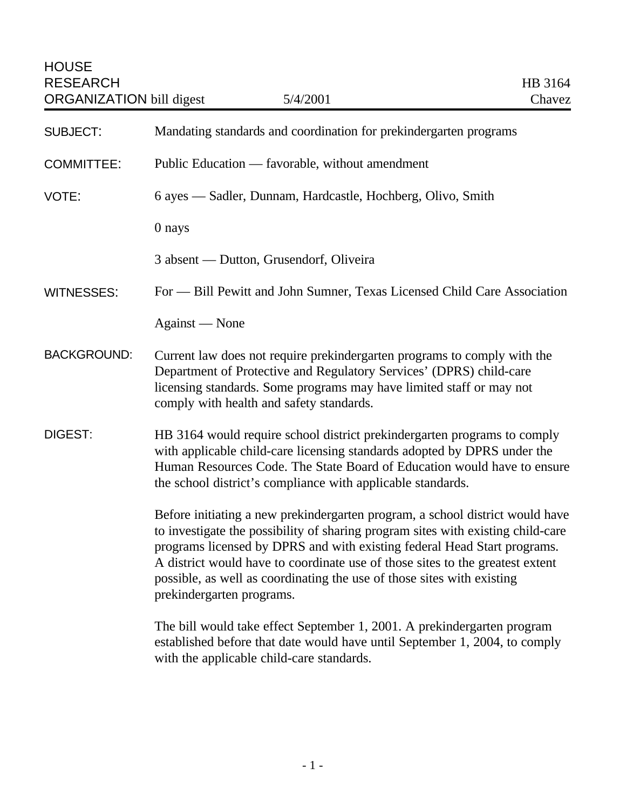| <b>SUBJECT:</b>    | Mandating standards and coordination for prekindergarten programs                                                                                                                                                                                                                                                                                                                                                                     |
|--------------------|---------------------------------------------------------------------------------------------------------------------------------------------------------------------------------------------------------------------------------------------------------------------------------------------------------------------------------------------------------------------------------------------------------------------------------------|
| <b>COMMITTEE:</b>  | Public Education — favorable, without amendment                                                                                                                                                                                                                                                                                                                                                                                       |
| VOTE:              | 6 ayes — Sadler, Dunnam, Hardcastle, Hochberg, Olivo, Smith                                                                                                                                                                                                                                                                                                                                                                           |
|                    | 0 nays                                                                                                                                                                                                                                                                                                                                                                                                                                |
|                    | 3 absent — Dutton, Grusendorf, Oliveira                                                                                                                                                                                                                                                                                                                                                                                               |
| <b>WITNESSES:</b>  | For — Bill Pewitt and John Sumner, Texas Licensed Child Care Association                                                                                                                                                                                                                                                                                                                                                              |
|                    | Against — None                                                                                                                                                                                                                                                                                                                                                                                                                        |
| <b>BACKGROUND:</b> | Current law does not require prekindergarten programs to comply with the<br>Department of Protective and Regulatory Services' (DPRS) child-care<br>licensing standards. Some programs may have limited staff or may not<br>comply with health and safety standards.                                                                                                                                                                   |
| DIGEST:            | HB 3164 would require school district prekindergarten programs to comply<br>with applicable child-care licensing standards adopted by DPRS under the<br>Human Resources Code. The State Board of Education would have to ensure<br>the school district's compliance with applicable standards.                                                                                                                                        |
|                    | Before initiating a new prekindergarten program, a school district would have<br>to investigate the possibility of sharing program sites with existing child-care<br>programs licensed by DPRS and with existing federal Head Start programs.<br>A district would have to coordinate use of those sites to the greatest extent<br>possible, as well as coordinating the use of those sites with existing<br>prekindergarten programs. |
|                    | The bill would take effect September 1, 2001. A prekindergarten program<br>established before that date would have until September 1, 2004, to comply<br>with the applicable child-care standards.                                                                                                                                                                                                                                    |